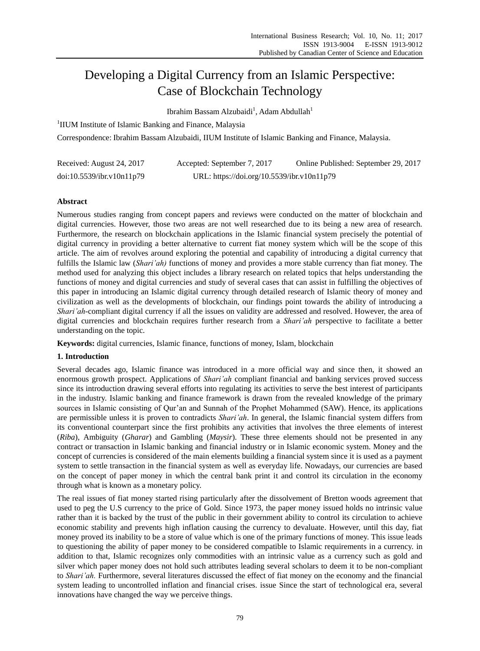# Developing a Digital Currency from an Islamic Perspective: Case of Blockchain Technology

Ibrahim Bassam Alzubaidi<sup>1</sup>, Adam Abdullah<sup>1</sup>

<sup>1</sup>IIUM Institute of Islamic Banking and Finance, Malaysia

Correspondence: Ibrahim Bassam Alzubaidi, IIUM Institute of Islamic Banking and Finance, Malaysia.

| Received: August 24, 2017 | Accepted: September 7, 2017                | Online Published: September 29, 2017 |
|---------------------------|--------------------------------------------|--------------------------------------|
| doi:10.5539/ibr.v10n11p79 | URL: https://doi.org/10.5539/ibr.v10n11p79 |                                      |

# **Abstract**

Numerous studies ranging from concept papers and reviews were conducted on the matter of blockchain and digital currencies. However, those two areas are not well researched due to its being a new area of research. Furthermore, the research on blockchain applications in the Islamic financial system precisely the potential of digital currency in providing a better alternative to current fiat money system which will be the scope of this article. The aim of revolves around exploring the potential and capability of introducing a digital currency that fulfills the Islamic law (*Shari'ah)* functions of money and provides a more stable currency than fiat money. The method used for analyzing this object includes a library research on related topics that helps understanding the functions of money and digital currencies and study of several cases that can assist in fulfilling the objectives of this paper in introducing an Islamic digital currency through detailed research of Islamic theory of money and civilization as well as the developments of blockchain, our findings point towards the ability of introducing a *Shari'ah-*compliant digital currency if all the issues on validity are addressed and resolved. However, the area of digital currencies and blockchain requires further research from a *Shari'ah* perspective to facilitate a better understanding on the topic.

**Keywords:** digital currencies, Islamic finance, functions of money, Islam, blockchain

## **1. Introduction**

Several decades ago, Islamic finance was introduced in a more official way and since then, it showed an enormous growth prospect. Applications of *Shari'ah* compliant financial and banking services proved success since its introduction drawing several efforts into regulating its activities to serve the best interest of participants in the industry. Islamic banking and finance framework is drawn from the revealed knowledge of the primary sources in Islamic consisting of Qur'an and Sunnah of the Prophet Mohammed (SAW). Hence, its applications are permissible unless it is proven to contradicts *Shari'ah*. In general, the Islamic financial system differs from its conventional counterpart since the first prohibits any activities that involves the three elements of interest (*Riba*), Ambiguity (*Gharar*) and Gambling (*Maysir*). These three elements should not be presented in any contract or transaction in Islamic banking and financial industry or in Islamic economic system. Money and the concept of currencies is considered of the main elements building a financial system since it is used as a payment system to settle transaction in the financial system as well as everyday life. Nowadays, our currencies are based on the concept of paper money in which the central bank print it and control its circulation in the economy through what is known as a monetary policy.

The real issues of fiat money started rising particularly after the dissolvement of Bretton woods agreement that used to peg the U.S currency to the price of Gold. Since 1973, the paper money issued holds no intrinsic value rather than it is backed by the trust of the public in their government ability to control its circulation to achieve economic stability and prevents high inflation causing the currency to devaluate. However, until this day, fiat money proved its inability to be a store of value which is one of the primary functions of money. This issue leads to questioning the ability of paper money to be considered compatible to Islamic requirements in a currency. in addition to that, Islamic recognizes only commodities with an intrinsic value as a currency such as gold and silver which paper money does not hold such attributes leading several scholars to deem it to be non-compliant to *Shari'ah.* Furthermore, several literatures discussed the effect of fiat money on the economy and the financial system leading to uncontrolled inflation and financial crises. issue Since the start of technological era, several innovations have changed the way we perceive things.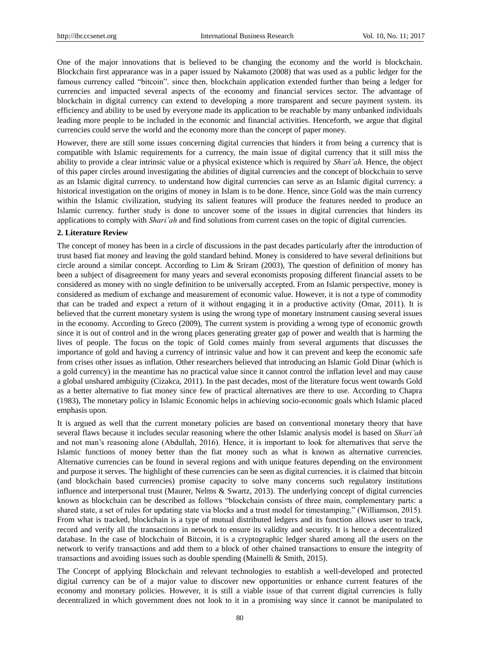One of the major innovations that is believed to be changing the economy and the world is blockchain. Blockchain first appearance was in a paper issued by Nakamoto (2008) that was used as a public ledger for the famous currency called "bitcoin". since then, blockchain application extended further than being a ledger for currencies and impacted several aspects of the economy and financial services sector. The advantage of blockchain in digital currency can extend to developing a more transparent and secure payment system. its efficiency and ability to be used by everyone made its application to be reachable by many unbanked individuals leading more people to be included in the economic and financial activities. Henceforth, we argue that digital currencies could serve the world and the economy more than the concept of paper money.

However, there are still some issues concerning digital currencies that hinders it from being a currency that is compatible with Islamic requirements for a currency, the main issue of digital currency that it still miss the ability to provide a clear intrinsic value or a physical existence which is required by *Shari'ah.* Hence, the object of this paper circles around investigating the abilities of digital currencies and the concept of blockchain to serve as an Islamic digital currency. to understand how digital currencies can serve as an Islamic digital currency. a historical investigation on the origins of money in Islam is to be done. Hence, since Gold was the main currency within the Islamic civilization, studying its salient features will produce the features needed to produce an Islamic currency. further study is done to uncover some of the issues in digital currencies that hinders its applications to comply with *Shari'ah* and find solutions from current cases on the topic of digital currencies.

# **2. Literature Review**

The concept of money has been in a circle of discussions in the past decades particularly after the introduction of trust based fiat money and leaving the gold standard behind. Money is considered to have several definitions but circle around a similar concept. According to Lim & Sriram (2003), The question of definition of money has been a subject of disagreement for many years and several economists proposing different financial assets to be considered as money with no single definition to be universally accepted. From an Islamic perspective, money is considered as medium of exchange and measurement of economic value. However, it is not a type of commodity that can be traded and expect a return of it without engaging it in a productive activity (Omar, 2011). It is believed that the current monetary system is using the wrong type of monetary instrument causing several issues in the economy. According to Greco (2009), The current system is providing a wrong type of economic growth since it is out of control and in the wrong places generating greater gap of power and wealth that is harming the lives of people. The focus on the topic of Gold comes mainly from several arguments that discusses the importance of gold and having a currency of intrinsic value and how it can prevent and keep the economic safe from crises other issues as inflation. Other researchers believed that introducing an Islamic Gold Dinar (which is a gold currency) in the meantime has no practical value since it cannot control the inflation level and may cause a global unshared ambiguity (Cizakca, 2011). In the past decades, most of the literature focus went towards Gold as a better alternative to fiat money since few of practical alternatives are there to use. According to Chapra (1983), The monetary policy in Islamic Economic helps in achieving socio-economic goals which Islamic placed emphasis upon.

It is argued as well that the current monetary policies are based on conventional monetary theory that have several flaws because it includes secular reasoning where the other Islamic analysis model is based on *Shari'ah* and not man's reasoning alone (Abdullah, 2016). Hence, it is important to look for alternatives that serve the Islamic functions of money better than the fiat money such as what is known as alternative currencies. Alternative currencies can be found in several regions and with unique features depending on the environment and purpose it serves. The highlight of these currencies can be seen as digital currencies. it is claimed that bitcoin (and blockchain based currencies) promise capacity to solve many concerns such regulatory institutions influence and interpersonal trust (Maurer, Nelms & Swartz, 2013). The underlying concept of digital currencies known as blockchain can be described as follows "blockchain consists of three main, complementary parts: a shared state, a set of rules for updating state via blocks and a trust model for timestamping." (Williamson, 2015). From what is tracked, blockchain is a type of mutual distributed ledgers and its function allows user to track, record and verify all the transactions in network to ensure its validity and security. It is hence a decentralized database. In the case of blockchain of Bitcoin, it is a cryptographic ledger shared among all the users on the network to verify transactions and add them to a block of other chained transactions to ensure the integrity of transactions and avoiding issues such as double spending (Mainelli & Smith, 2015).

The Concept of applying Blockchain and relevant technologies to establish a well-developed and protected digital currency can be of a major value to discover new opportunities or enhance current features of the economy and monetary policies. However, it is still a viable issue of that current digital currencies is fully decentralized in which government does not look to it in a promising way since it cannot be manipulated to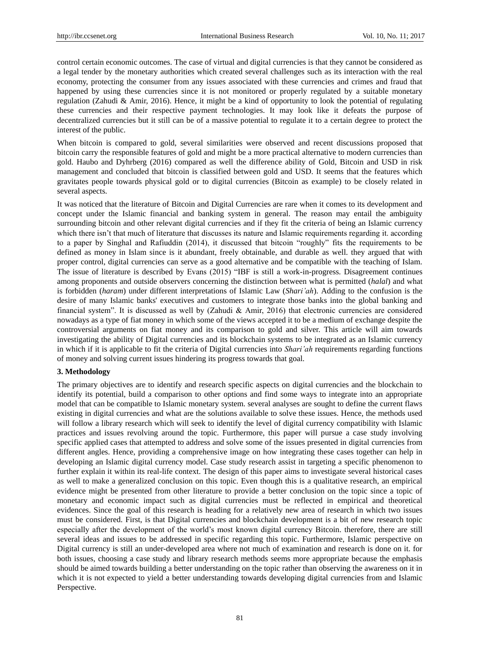control certain economic outcomes. The case of virtual and digital currencies is that they cannot be considered as a legal tender by the monetary authorities which created several challenges such as its interaction with the real economy, protecting the consumer from any issues associated with these currencies and crimes and fraud that happened by using these currencies since it is not monitored or properly regulated by a suitable monetary regulation (Zahudi & Amir, 2016). Hence, it might be a kind of opportunity to look the potential of regulating these currencies and their respective payment technologies. It may look like it defeats the purpose of decentralized currencies but it still can be of a massive potential to regulate it to a certain degree to protect the interest of the public.

When bitcoin is compared to gold, several similarities were observed and recent discussions proposed that bitcoin carry the responsible features of gold and might be a more practical alternative to modern currencies than gold. Haubo and Dyhrberg (2016) compared as well the difference ability of Gold, Bitcoin and USD in risk management and concluded that bitcoin is classified between gold and USD. It seems that the features which gravitates people towards physical gold or to digital currencies (Bitcoin as example) to be closely related in several aspects.

It was noticed that the literature of Bitcoin and Digital Currencies are rare when it comes to its development and concept under the Islamic financial and banking system in general. The reason may entail the ambiguity surrounding bitcoin and other relevant digital currencies and if they fit the criteria of being an Islamic currency which there isn't that much of literature that discusses its nature and Islamic requirements regarding it. according to a paper by Singhal and Rafiuddin (2014), it discussed that bitcoin "roughly" fits the requirements to be defined as money in Islam since is it abundant, freely obtainable, and durable as well. they argued that with proper control, digital currencies can serve as a good alternative and be compatible with the teaching of Islam. The issue of literature is described by Evans (2015) "IBF is still a work-in-progress. Disagreement continues among proponents and outside observers concerning the distinction between what is permitted (*halal*) and what is forbidden (*haram*) under different interpretations of Islamic Law (*Shari'ah*). Adding to the confusion is the desire of many Islamic banks' executives and customers to integrate those banks into the global banking and financial system". It is discussed as well by (Zahudi & Amir, 2016) that electronic currencies are considered nowadays as a type of fiat money in which some of the views accepted it to be a medium of exchange despite the controversial arguments on fiat money and its comparison to gold and silver. This article will aim towards investigating the ability of Digital currencies and its blockchain systems to be integrated as an Islamic currency in which if it is applicable to fit the criteria of Digital currencies into *Shari'ah* requirements regarding functions of money and solving current issues hindering its progress towards that goal.

#### **3. Methodology**

The primary objectives are to identify and research specific aspects on digital currencies and the blockchain to identify its potential, build a comparison to other options and find some ways to integrate into an appropriate model that can be compatible to Islamic monetary system. several analyses are sought to define the current flaws existing in digital currencies and what are the solutions available to solve these issues. Hence, the methods used will follow a library research which will seek to identify the level of digital currency compatibility with Islamic practices and issues revolving around the topic. Furthermore, this paper will pursue a case study involving specific applied cases that attempted to address and solve some of the issues presented in digital currencies from different angles. Hence, providing a comprehensive image on how integrating these cases together can help in developing an Islamic digital currency model. Case study research assist in targeting a specific phenomenon to further explain it within its real-life context. The design of this paper aims to investigate several historical cases as well to make a generalized conclusion on this topic. Even though this is a qualitative research, an empirical evidence might be presented from other literature to provide a better conclusion on the topic since a topic of monetary and economic impact such as digital currencies must be reflected in empirical and theoretical evidences. Since the goal of this research is heading for a relatively new area of research in which two issues must be considered. First, is that Digital currencies and blockchain development is a bit of new research topic especially after the development of the world's most known digital currency Bitcoin. therefore, there are still several ideas and issues to be addressed in specific regarding this topic. Furthermore, Islamic perspective on Digital currency is still an under-developed area where not much of examination and research is done on it. for both issues, choosing a case study and library research methods seems more appropriate because the emphasis should be aimed towards building a better understanding on the topic rather than observing the awareness on it in which it is not expected to yield a better understanding towards developing digital currencies from and Islamic Perspective.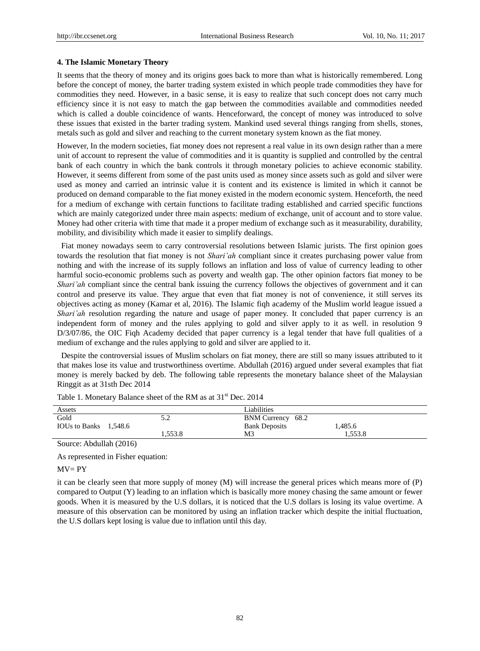#### **4. The Islamic Monetary Theory**

It seems that the theory of money and its origins goes back to more than what is historically remembered. Long before the concept of money, the barter trading system existed in which people trade commodities they have for commodities they need. However, in a basic sense, it is easy to realize that such concept does not carry much efficiency since it is not easy to match the gap between the commodities available and commodities needed which is called a double coincidence of wants. Henceforward, the concept of money was introduced to solve these issues that existed in the barter trading system. Mankind used several things ranging from shells, stones, metals such as gold and silver and reaching to the current monetary system known as the fiat money.

However, In the modern societies, fiat money does not represent a real value in its own design rather than a mere unit of account to represent the value of commodities and it is quantity is supplied and controlled by the central bank of each country in which the bank controls it through monetary policies to achieve economic stability. However, it seems different from some of the past units used as money since assets such as gold and silver were used as money and carried an intrinsic value it is content and its existence is limited in which it cannot be produced on demand comparable to the fiat money existed in the modern economic system. Henceforth, the need for a medium of exchange with certain functions to facilitate trading established and carried specific functions which are mainly categorized under three main aspects: medium of exchange, unit of account and to store value. Money had other criteria with time that made it a proper medium of exchange such as it measurability, durability, mobility, and divisibility which made it easier to simplify dealings.

Fiat money nowadays seem to carry controversial resolutions between Islamic jurists. The first opinion goes towards the resolution that fiat money is not *Shari'ah* compliant since it creates purchasing power value from nothing and with the increase of its supply follows an inflation and loss of value of currency leading to other harmful socio-economic problems such as poverty and wealth gap. The other opinion factors fiat money to be *Shari'ah* compliant since the central bank issuing the currency follows the objectives of government and it can control and preserve its value. They argue that even that fiat money is not of convenience, it still serves its objectives acting as money (Kamar et al, 2016). The Islamic fiqh academy of the Muslim world league issued a *Shari'ah* resolution regarding the nature and usage of paper money. It concluded that paper currency is an independent form of money and the rules applying to gold and silver apply to it as well. in resolution 9 D/3/07/86, the OIC Figh Academy decided that paper currency is a legal tender that have full qualities of a medium of exchange and the rules applying to gold and silver are applied to it.

Despite the controversial issues of Muslim scholars on fiat money, there are still so many issues attributed to it that makes lose its value and trustworthiness overtime. Abdullah (2016) argued under several examples that fiat money is merely backed by deb. The following table represents the monetary balance sheet of the Malaysian Ringgit as at 31sth Dec 2014

| Assets                  |         | Liabilities          |         |  |
|-------------------------|---------|----------------------|---------|--|
| Gold                    | 5.2     | BNM Currency 68.2    |         |  |
| IOUs to Banks $1,548.6$ |         | <b>Bank Deposits</b> | 1,485.6 |  |
|                         | 1.553.8 | M3                   | 1.553.8 |  |
| .<br>$\sim$             |         |                      |         |  |

Table 1. Monetary Balance sheet of the RM as at  $31<sup>st</sup>$  Dec. 2014

Source: Abdullah (2016)

As represented in Fisher equation:

#### $MV = PY$

it can be clearly seen that more supply of money (M) will increase the general prices which means more of (P) compared to Output (Y) leading to an inflation which is basically more money chasing the same amount or fewer goods. When it is measured by the U.S dollars, it is noticed that the U.S dollars is losing its value overtime. A measure of this observation can be monitored by using an inflation tracker which despite the initial fluctuation, the U.S dollars kept losing is value due to inflation until this day.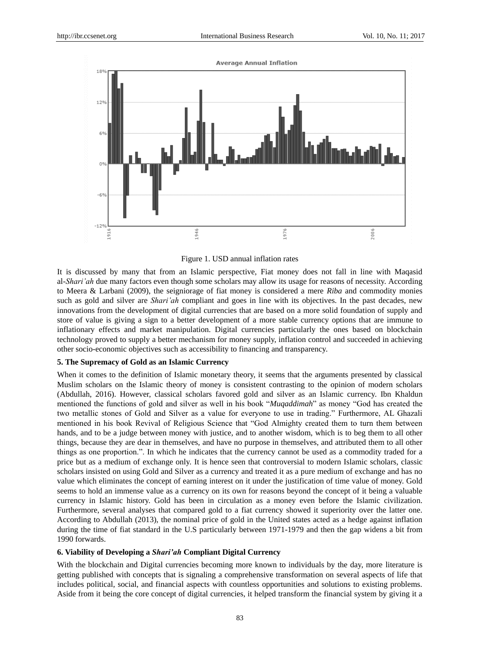

Figure 1. USD annual inflation rates

It is discussed by many that from an Islamic perspective, Fiat money does not fall in line with Maqasid al-*Shari'ah* due many factors even though some scholars may allow its usage for reasons of necessity. According to Meera & Larbani (2009), the seigniorage of fiat money is considered a mere *Riba* and commodity monies such as gold and silver are *Shari'ah* compliant and goes in line with its objectives. In the past decades, new innovations from the development of digital currencies that are based on a more solid foundation of supply and store of value is giving a sign to a better development of a more stable currency options that are immune to inflationary effects and market manipulation. Digital currencies particularly the ones based on blockchain technology proved to supply a better mechanism for money supply, inflation control and succeeded in achieving other socio-economic objectives such as accessibility to financing and transparency.

#### **5. The Supremacy of Gold as an Islamic Currency**

When it comes to the definition of Islamic monetary theory, it seems that the arguments presented by classical Muslim scholars on the Islamic theory of money is consistent contrasting to the opinion of modern scholars (Abdullah, 2016). However, classical scholars favored gold and silver as an Islamic currency. Ibn Khaldun mentioned the functions of gold and silver as well in his book "*Muqaddimah*" as money "God has created the two metallic stones of Gold and Silver as a value for everyone to use in trading." Furthermore, AL Ghazali mentioned in his book Revival of Religious Science that "God Almighty created them to turn them between hands, and to be a judge between money with justice, and to another wisdom, which is to beg them to all other things, because they are dear in themselves, and have no purpose in themselves, and attributed them to all other things as one proportion.". In which he indicates that the currency cannot be used as a commodity traded for a price but as a medium of exchange only. It is hence seen that controversial to modern Islamic scholars, classic scholars insisted on using Gold and Silver as a currency and treated it as a pure medium of exchange and has no value which eliminates the concept of earning interest on it under the justification of time value of money. Gold seems to hold an immense value as a currency on its own for reasons beyond the concept of it being a valuable currency in Islamic history. Gold has been in circulation as a money even before the Islamic civilization. Furthermore, several analyses that compared gold to a fiat currency showed it superiority over the latter one. According to Abdullah (2013), the nominal price of gold in the United states acted as a hedge against inflation during the time of fiat standard in the U.S particularly between 1971-1979 and then the gap widens a bit from 1990 forwards.

#### **6. Viability of Developing a** *Shari'ah* **Compliant Digital Currency**

With the blockchain and Digital currencies becoming more known to individuals by the day, more literature is getting published with concepts that is signaling a comprehensive transformation on several aspects of life that includes political, social, and financial aspects with countless opportunities and solutions to existing problems. Aside from it being the core concept of digital currencies, it helped transform the financial system by giving it a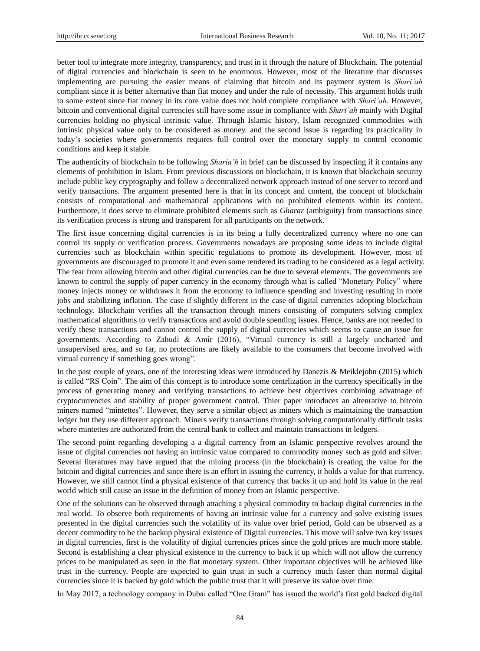better tool to integrate more integrity, transparency, and trust in it through the nature of Blockchain. The potential of digital currencies and blockchain is seen to be enormous. However, most of the literature that discusses implementing are pursuing the easier means of claiming that bitcoin and its payment system is *Shari'ah* compliant since it is better alternative than fiat money and under the rule of necessity. This argument holds truth to some extent since fiat money in its core value does not hold complete compliance with *Shari'ah*. However, bitcoin and conventional digital currencies still have some issue in compliance with *Shari'ah* mainly with Digital currencies holding no physical intrinsic value. Through Islamic history, Islam recognized commodities with intrinsic physical value only to be considered as money. and the second issue is regarding its practicality in today's societies where governments requires full control over the monetary supply to control economic conditions and keep it stable.

The authenticity of blockchain to be following *Sharia'h* in brief can be discussed by inspecting if it contains any elements of prohibition in Islam. From previous discussions on blockchain, it is known that blockchain security include public key cryptography and follow a decentralized network approach instead of one server to record and verify transactions. The argument presented here is that in its concept and content, the concept of blockchain consists of computational and mathematical applications with no prohibited elements within its content. Furthermore, it does serve to eliminate prohibited elements such as *Gharar* (ambiguity) from transactions since its verification process is strong and transparent for all participants on the network.

The first issue concerning digital currencies is in its being a fully decentralized currency where no one can control its supply or verification process. Governments nowadays are proposing some ideas to include digital currencies such as blockchain within specific regulations to promote its development. However, most of governments are discouraged to promote it and even some rendered its trading to be considered as a legal activity. The fear from allowing bitcoin and other digital currencies can be due to several elements. The governments are known to control the supply of paper currency in the economy through what is called "Monetary Policy" where money injects money or withdraws it from the economy to influence spending and investing resulting in more jobs and stabilizing inflation. The case if slightly different in the case of digital currencies adopting blockchain technology. Blockchain verifies all the transaction through miners consisting of computers solving complex mathematical algorithms to verify transactions and avoid double spending issues. Hence, banks are not needed to verify these transactions and cannot control the supply of digital currencies which seems to cause an issue for governments. According to Zahudi & Amir (2016), "Virtual currency is still a largely uncharted and unsupervised area, and so far, no protections are likely available to the consumers that become involved with virtual currency if something goes wrong".

In the past couple of years, one of the interesting ideas were introduced by Danezis & Meiklejohn (2015) which is called "RS Coin". The aim of this concept is to introduce some centrlization in the currency specifically in the process of generating money and verifying transactions to achieve best objectives combining advatnage of cryptocurrencies and stability of proper government control. Thier paper introduces an altenrative to bitcoin miners named "mintettes". However, they serve a similar object as miners which is maintaining the transaction ledger but they use different approach. Miners verify transactions through solving computationally difficult tasks where mintettes are authorized from the central bank to collect and maintain transactions in ledgers.

The second point regarding developing a a digital currency from an Islamic perspective revolves around the issue of digital currencies not having an intrinsic value compared to commodity money such as gold and silver. Several literatures may have argued that the mining process (in the blockchain) is creating the value for the bitcoin and digital currencies and since there is an effort in issuing the currency, it holds a value for that currency. However, we still cannot find a physical existence of that currency that backs it up and hold its value in the real world which still cause an issue in the definition of money from an Islamic perspective.

One of the solutions can be observed through attaching a physical commodity to backup digital currencies in the real world. To observe both requirements of having an intrinsic value for a currency and solve existing issues presented in the digital currencies such the volatility of its value over brief period, Gold can be observed as a decent commodity to be the backup physical existence of Digital currencies. This move will solve two key issues in digital currencies, first is the volatility of digital currencies prices since the gold prices are much more stable. Second is establishing a clear physical existence to the currency to back it up which will not allow the currency prices to be manipulated as seen in the fiat monetary system. Other important objectives will be achieved like trust in the currency. People are expected to gain trust in such a currency much faster than normal digital currencies since it is backed by gold which the public trust that it will preserve its value over time.

In May 2017, a technology company in Dubai called "One Gram" has issued the world's first gold backed digital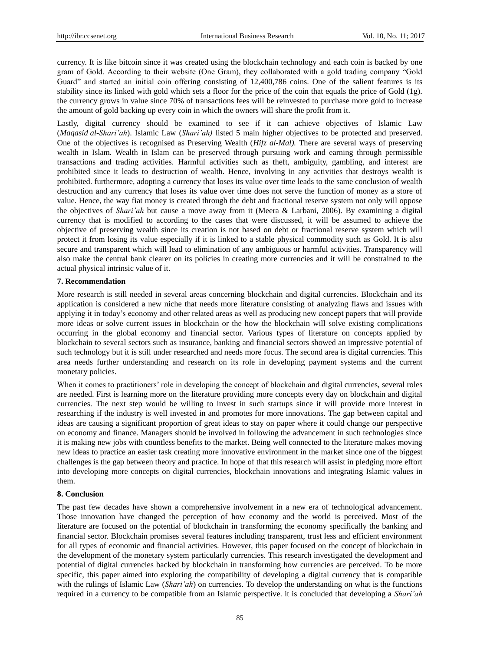currency. It is like bitcoin since it was created using the blockchain technology and each coin is backed by one gram of Gold. According to their website (One Gram), they collaborated with a gold trading company "Gold Guard" and started an initial coin offering consisting of 12,400,786 coins. One of the salient features is its stability since its linked with gold which sets a floor for the price of the coin that equals the price of Gold (1g). the currency grows in value since 70% of transactions fees will be reinvested to purchase more gold to increase the amount of gold backing up every coin in which the owners will share the profit from it.

Lastly, digital currency should be examined to see if it can achieve objectives of Islamic Law (*Maqasid al-Shari'ah*). Islamic Law (*Shari'ah)* listed 5 main higher objectives to be protected and preserved. One of the objectives is recognised as Preserving Wealth (*Hifz al-Mal).* There are several ways of preserving wealth in Islam. Wealth in Islam can be preserved through pursuing work and earning through permissible transactions and trading activities. Harmful activities such as theft, ambiguity, gambling, and interest are prohibited since it leads to destruction of wealth. Hence, involving in any activities that destroys wealth is prohibited. furthermore, adopting a currency that loses its value over time leads to the same conclusion of wealth destruction and any currency that loses its value over time does not serve the function of money as a store of value. Hence, the way fiat money is created through the debt and fractional reserve system not only will oppose the objectives of *Shari'ah* but cause a move away from it (Meera & Larbani, 2006). By examining a digital currency that is modified to according to the cases that were discussed, it will be assumed to achieve the objective of preserving wealth since its creation is not based on debt or fractional reserve system which will protect it from losing its value especially if it is linked to a stable physical commodity such as Gold. It is also secure and transparent which will lead to elimination of any ambiguous or harmful activities. Transparency will also make the central bank clearer on its policies in creating more currencies and it will be constrained to the actual physical intrinsic value of it.

#### **7. Recommendation**

More research is still needed in several areas concerning blockchain and digital currencies. Blockchain and its application is considered a new niche that needs more literature consisting of analyzing flaws and issues with applying it in today's economy and other related areas as well as producing new concept papers that will provide more ideas or solve current issues in blockchain or the how the blockchain will solve existing complications occurring in the global economy and financial sector. Various types of literature on concepts applied by blockchain to several sectors such as insurance, banking and financial sectors showed an impressive potential of such technology but it is still under researched and needs more focus. The second area is digital currencies. This area needs further understanding and research on its role in developing payment systems and the current monetary policies.

When it comes to practitioners' role in developing the concept of blockchain and digital currencies, several roles are needed. First is learning more on the literature providing more concepts every day on blockchain and digital currencies. The next step would be willing to invest in such startups since it will provide more interest in researching if the industry is well invested in and promotes for more innovations. The gap between capital and ideas are causing a significant proportion of great ideas to stay on paper where it could change our perspective on economy and finance. Managers should be involved in following the advancement in such technologies since it is making new jobs with countless benefits to the market. Being well connected to the literature makes moving new ideas to practice an easier task creating more innovative environment in the market since one of the biggest challenges is the gap between theory and practice. In hope of that this research will assist in pledging more effort into developing more concepts on digital currencies, blockchain innovations and integrating Islamic values in them.

### **8. Conclusion**

The past few decades have shown a comprehensive involvement in a new era of technological advancement. Those innovation have changed the perception of how economy and the world is perceived. Most of the literature are focused on the potential of blockchain in transforming the economy specifically the banking and financial sector. Blockchain promises several features including transparent, trust less and efficient environment for all types of economic and financial activities. However, this paper focused on the concept of blockchain in the development of the monetary system particularly currencies. This research investigated the development and potential of digital currencies backed by blockchain in transforming how currencies are perceived. To be more specific, this paper aimed into exploring the compatibility of developing a digital currency that is compatible with the rulings of Islamic Law (*Shari'ah*) on currencies. To develop the understanding on what is the functions required in a currency to be compatible from an Islamic perspective. it is concluded that developing a *Shari'ah*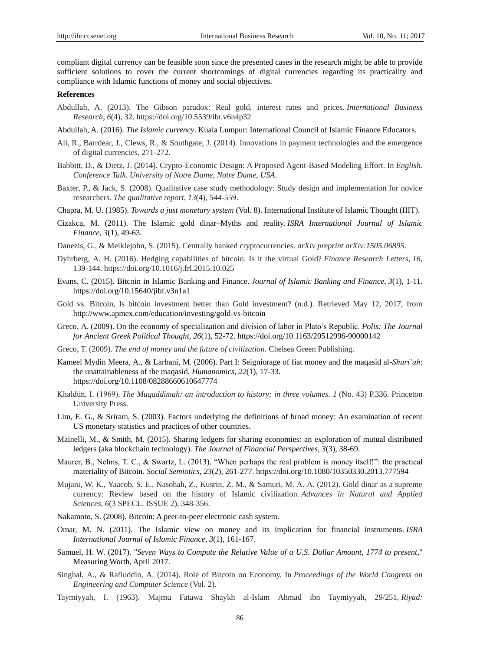compliant digital currency can be feasible soon since the presented cases in the research might be able to provide sufficient solutions to cover the current shortcomings of digital currencies regarding its practicality and compliance with Islamic functions of money and social objectives.

#### **References**

- Abdullah, A. (2013). The Gibson paradox: Real gold, interest rates and prices. *International Business Research*, *6*(4), 32. https://doi.org/10.5539/ibr.v6n4p32
- Abdullah, A. (2016). *The Islamic currency*. Kuala Lumpur: International Council of Islamic Finance Educators.
- Ali, R., Barrdear, J., Clews, R., & Southgate, J. (2014). Innovations in payment technologies and the emergence of digital currencies, 271-272.
- Babbitt, D., & Dietz, J. (2014). Crypto-Economic Design: A Proposed Agent-Based Modeling Effort. In *English. Conference Talk. University of Notre Dame, Notre Dame, USA*.
- Baxter, P., & Jack, S. (2008). Qualitative case study methodology: Study design and implementation for novice researchers. *The qualitative report*, *13*(4), 544-559.
- Chapra, M. U. (1985). *Towards a just monetary system* (Vol. 8). International Institute of Islamic Thought (IIIT).
- Cizakca, M. (2011). The Islamic gold dinar–Myths and reality. *ISRA International Journal of Islamic Finance*, *3*(1), 49-63.
- Danezis, G., & Meiklejohn, S. (2015). Centrally banked cryptocurrencies. *arXiv preprint arXiv:1505.06895*.
- Dyhrberg, A. H. (2016). Hedging capabilities of bitcoin. Is it the virtual Gold? *Finance Research Letters*, *16*, 139-144. https://doi.org/10.1016/j.frl.2015.10.025
- Evans, C. (2015). Bitcoin in Islamic Banking and Finance. *Journal of Islamic Banking and Finance*, *3*(1), 1-11. https://doi.org/10.15640/jibf.v3n1a1
- Gold vs. Bitcoin, Is bitcoin investment better than Gold investment? (n.d.). Retrieved May 12, 2017, from http://www.apmex.com/education/investing/gold-vs-bitcoin
- Greco, A. (2009). On the economy of specialization and division of labor in Plato's Republic. *Polis: The Journal for Ancient Greek Political Thought*, *26*(1), 52-72. https://doi.org/10.1163/20512996-90000142
- Greco, T. (2009). *The end of money and the future of civilization*. Chelsea Green Publishing.
- Kameel Mydin Meera, A., & Larbani, M. (2006). Part I: Seigniorage of fiat money and the maqasid al-*Shari'ah*: the unattainableness of the maqasid. *Humanomics*, *22*(1), 17-33. https://doi.org/10.1108/08288660610647774
- Khaldūn, I. (1969). *The Muqaddimah: an introduction to history; in three volumes. 1* (No. 43) P.336. Princeton University Press.
- Lim, E. G., & Sriram, S. (2003). Factors underlying the definitions of broad money: An examination of recent US monetary statistics and practices of other countries.
- Mainelli, M., & Smith, M. (2015). Sharing ledgers for sharing economies: an exploration of mutual distributed ledgers (aka blockchain technology). *The Journal of Financial Perspectives*, *3*(3), 38-69.
- Maurer, B., Nelms, T. C., & Swartz, L. (2013). "When perhaps the real problem is money itself!": the practical materiality of Bitcoin. *Social Semiotics*, *23*(2), 261-277. https://doi.org/10.1080/10350330.2013.777594
- Mujani, W. K., Yaacob, S. E., Nasohah, Z., Kusrin, Z. M., & Samuri, M. A. A. (2012). Gold dinar as a supreme currency: Review based on the history of Islamic civilization. *Advances in Natural and Applied Sciences*, *6*(3 SPECL. ISSUE 2), 348-356.
- Nakamoto, S. (2008). Bitcoin: A peer-to-peer electronic cash system.
- Omar, M. N. (2011). The Islamic view on money and its implication for financial instruments. *ISRA International Journal of Islamic Finance*, *3*(1), 161-167.
- Samuel, H. W. (2017). "*Seven Ways to Compute the Relative Value of a U.S. Dollar Amount, 1774 to present*," Measuring Worth, April 2017.
- Singhal, A., & Rafiuddin, A. (2014). Role of Bitcoin on Economy. In *Proceedings of the World Congress on Engineering and Computer Science* (Vol. 2).
- Taymiyyah, I. (1963). Majmu Fatawa Shaykh al-Islam Ahmad ibn Taymiyyah, 29/251, *Riyad:*